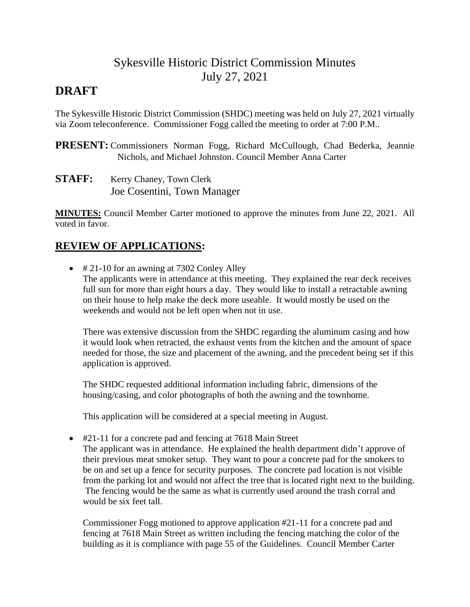# Sykesville Historic District Commission Minutes July 27, 2021

## **DRAFT**

The Sykesville Historic District Commission (SHDC) meeting was held on July 27, 2021 virtually via Zoom teleconference. Commissioner Fogg called the meeting to order at 7:00 P.M..

**PRESENT:** Commissioners Norman Fogg, Richard McCullough, Chad Bederka, Jeannie Nichols, and Michael Johnston. Council Member Anna Carter

**STAFF:** Kerry Chaney, Town Clerk Joe Cosentini, Town Manager

**MINUTES:** Council Member Carter motioned to approve the minutes from June 22, 2021. All voted in favor.

## **REVIEW OF APPLICATIONS:**

• # 21-10 for an awning at 7302 Conley Alley The applicants were in attendance at this meeting. They explained the rear deck receives full sun for more than eight hours a day. They would like to install a retractable awning on their house to help make the deck more useable. It would mostly be used on the weekends and would not be left open when not in use.

There was extensive discussion from the SHDC regarding the aluminum casing and how it would look when retracted, the exhaust vents from the kitchen and the amount of space needed for those, the size and placement of the awning, and the precedent being set if this application is approved.

The SHDC requested additional information including fabric, dimensions of the housing/casing, and color photographs of both the awning and the townhome.

This application will be considered at a special meeting in August.

• #21-11 for a concrete pad and fencing at 7618 Main Street

The applicant was in attendance. He explained the health department didn't approve of their previous meat smoker setup. They want to pour a concrete pad for the smokers to be on and set up a fence for security purposes. The concrete pad location is not visible from the parking lot and would not affect the tree that is located right next to the building. The fencing would be the same as what is currently used around the trash corral and would be six feet tall.

Commissioner Fogg motioned to approve application #21-11 for a concrete pad and fencing at 7618 Main Street as written including the fencing matching the color of the building as it is compliance with page 55 of the Guidelines. Council Member Carter